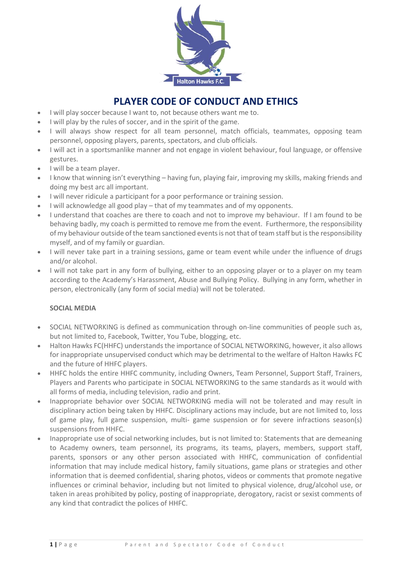

# **PLAYER CODE OF CONDUCT AND ETHICS**

- I will play soccer because I want to, not because others want me to.
- I will play by the rules of soccer, and in the spirit of the game.
- I will always show respect for all team personnel, match officials, teammates, opposing team personnel, opposing players, parents, spectators, and club officials.
- I will act in a sportsmanlike manner and not engage in violent behaviour, foul language, or offensive gestures.
- I will be a team player.
- I know that winning isn't everything having fun, playing fair, improving my skills, making friends and doing my best arc all important.
- I will never ridicule a participant for a poor performance or training session.
- I will acknowledge all good play that of my teammates and of my opponents.
- I understand that coaches are there to coach and not to improve my behaviour. If I am found to be behaving badly, my coach is permitted to remove me from the event. Furthermore, the responsibility of my behaviour outside of the team sanctioned events is not that of team staff but is the responsibility myself, and of my family or guardian.
- I will never take part in a training sessions, game or team event while under the influence of drugs and/or alcohol.
- I will not take part in any form of bullying, either to an opposing player or to a player on my team according to the Academy's Harassment, Abuse and Bullying Policy. Bullying in any form, whether in person, electronically (any form of social media) will not be tolerated.

# **SOCIAL MEDIA**

- SOCIAL NETWORKING is defined as communication through on-line communities of people such as, but not limited to, Facebook, Twitter, You Tube, blogging, etc.
- Halton Hawks FC(HHFC) understands the importance of SOCIAL NETWORKING, however, it also allows for inappropriate unsupervised conduct which may be detrimental to the welfare of Halton Hawks FC and the future of HHFC players.
- HHFC holds the entire HHFC community, including Owners, Team Personnel, Support Staff, Trainers, Players and Parents who participate in SOCIAL NETWORKING to the same standards as it would with all forms of media, including television, radio and print.
- Inappropriate behavior over SOCIAL NETWORKING media will not be tolerated and may result in disciplinary action being taken by HHFC. Disciplinary actions may include, but are not limited to, loss of game play, full game suspension, multi- game suspension or for severe infractions season(s) suspensions from HHFC.
- Inappropriate use of social networking includes, but is not limited to: Statements that are demeaning to Academy owners, team personnel, its programs, its teams, players, members, support staff, parents, sponsors or any other person associated with HHFC, communication of confidential information that may include medical history, family situations, game plans or strategies and other information that is deemed confidential, sharing photos, videos or comments that promote negative influences or criminal behavior, including but not limited to physical violence, drug/alcohol use, or taken in areas prohibited by policy, posting of inappropriate, derogatory, racist or sexist comments of any kind that contradict the polices of HHFC.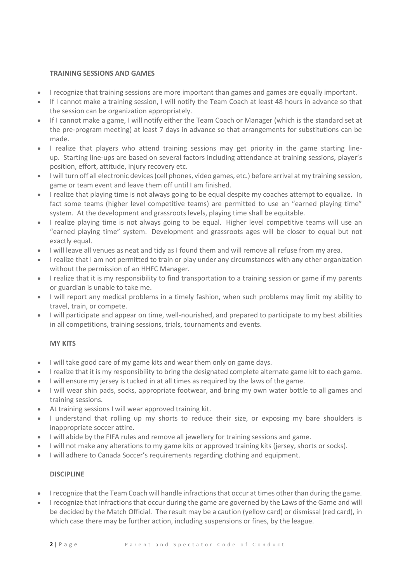### **TRAINING SESSIONS AND GAMES**

- I recognize that training sessions are more important than games and games are equally important.
- If I cannot make a training session, I will notify the Team Coach at least 48 hours in advance so that the session can be organization appropriately.
- If I cannot make a game, I will notify either the Team Coach or Manager (which is the standard set at the pre-program meeting) at least 7 days in advance so that arrangements for substitutions can be made.
- I realize that players who attend training sessions may get priority in the game starting lineup. Starting line-ups are based on several factors including attendance at training sessions, player's position, effort, attitude, injury recovery etc.
- I will turn off all electronic devices (cell phones, video games, etc.) before arrival at my training session, game or team event and leave them off until I am finished.
- I realize that playing time is not always going to be equal despite my coaches attempt to equalize. In fact some teams (higher level competitive teams) are permitted to use an "earned playing time" system. At the development and grassroots levels, playing time shall be equitable.
- I realize playing time is not always going to be equal. Higher level competitive teams will use an "earned playing time" system. Development and grassroots ages will be closer to equal but not exactly equal.
- I will leave all venues as neat and tidy as I found them and will remove all refuse from my area.
- I realize that I am not permitted to train or play under any circumstances with any other organization without the permission of an HHFC Manager.
- I realize that it is my responsibility to find transportation to a training session or game if my parents or guardian is unable to take me.
- I will report any medical problems in a timely fashion, when such problems may limit my ability to travel, train, or compete.
- I will participate and appear on time, well-nourished, and prepared to participate to my best abilities in all competitions, training sessions, trials, tournaments and events.

# **MY KITS**

- I will take good care of my game kits and wear them only on game days.
- I realize that it is my responsibility to bring the designated complete alternate game kit to each game.
- I will ensure my jersey is tucked in at all times as required by the laws of the game.
- I will wear shin pads, socks, appropriate footwear, and bring my own water bottle to all games and training sessions.
- At training sessions I will wear approved training kit.
- I understand that rolling up my shorts to reduce their size, or exposing my bare shoulders is inappropriate soccer attire.
- I will abide by the FIFA rules and remove all jewellery for training sessions and game.
- I will not make any alterations to my game kits or approved training kits (jersey, shorts or socks).
- I will adhere to Canada Soccer's requirements regarding clothing and equipment.

#### **DISCIPLINE**

- I recognize that the Team Coach will handle infractions that occur at times other than during the game.
- I recognize that infractions that occur during the game are governed by the Laws of the Game and will be decided by the Match Official. The result may be a caution (yellow card) or dismissal (red card), in which case there may be further action, including suspensions or fines, by the league.